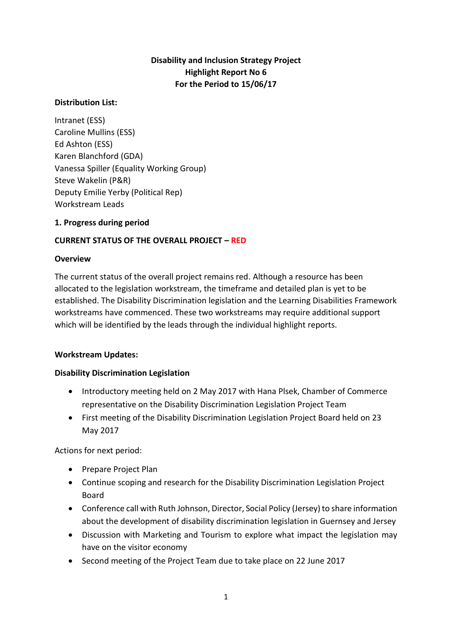# **Disability and Inclusion Strategy Project Highlight Report No 6 For the Period to 15/06/17**

#### **Distribution List:**

Intranet (ESS) Caroline Mullins (ESS) Ed Ashton (ESS) Karen Blanchford (GDA) Vanessa Spiller (Equality Working Group) Steve Wakelin (P&R) Deputy Emilie Yerby (Political Rep) Workstream Leads

#### **1. Progress during period**

## **CURRENT STATUS OF THE OVERALL PROJECT – RED**

#### **Overview**

The current status of the overall project remains red. Although a resource has been allocated to the legislation workstream, the timeframe and detailed plan is yet to be established. The Disability Discrimination legislation and the Learning Disabilities Framework workstreams have commenced. These two workstreams may require additional support which will be identified by the leads through the individual highlight reports.

#### **Workstream Updates:**

#### **Disability Discrimination Legislation**

- Introductory meeting held on 2 May 2017 with Hana Plsek, Chamber of Commerce representative on the Disability Discrimination Legislation Project Team
- First meeting of the Disability Discrimination Legislation Project Board held on 23 May 2017

Actions for next period:

- Prepare Project Plan
- Continue scoping and research for the Disability Discrimination Legislation Project Board
- Conference call with Ruth Johnson, Director, Social Policy (Jersey) to share information about the development of disability discrimination legislation in Guernsey and Jersey
- Discussion with Marketing and Tourism to explore what impact the legislation may have on the visitor economy
- Second meeting of the Project Team due to take place on 22 June 2017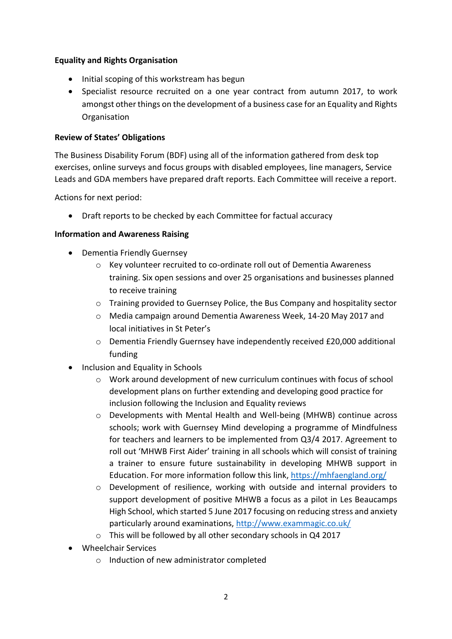## **Equality and Rights Organisation**

- Initial scoping of this workstream has begun
- Specialist resource recruited on a one year contract from autumn 2017, to work amongst other things on the development of a business case for an Equality and Rights Organisation

#### **Review of States' Obligations**

The Business Disability Forum (BDF) using all of the information gathered from desk top exercises, online surveys and focus groups with disabled employees, line managers, Service Leads and GDA members have prepared draft reports. Each Committee will receive a report.

Actions for next period:

Draft reports to be checked by each Committee for factual accuracy

## **Information and Awareness Raising**

- Dementia Friendly Guernsey
	- o Key volunteer recruited to co-ordinate roll out of Dementia Awareness training. Six open sessions and over 25 organisations and businesses planned to receive training
	- o Training provided to Guernsey Police, the Bus Company and hospitality sector
	- o Media campaign around Dementia Awareness Week, 14-20 May 2017 and local initiatives in St Peter's
	- $\circ$  Dementia Friendly Guernsey have independently received £20,000 additional funding
- Inclusion and Equality in Schools
	- $\circ$  Work around development of new curriculum continues with focus of school development plans on further extending and developing good practice for inclusion following the Inclusion and Equality reviews
	- o Developments with Mental Health and Well-being (MHWB) continue across schools; work with Guernsey Mind developing a programme of Mindfulness for teachers and learners to be implemented from Q3/4 2017. Agreement to roll out 'MHWB First Aider' training in all schools which will consist of training a trainer to ensure future sustainability in developing MHWB support in Education. For more information follow this link,<https://mhfaengland.org/>
	- $\circ$  Development of resilience, working with outside and internal providers to support development of positive MHWB a focus as a pilot in Les Beaucamps High School, which started 5 June 2017 focusing on reducing stress and anxiety particularly around examinations,<http://www.exammagic.co.uk/>
	- o This will be followed by all other secondary schools in Q4 2017
- Wheelchair Services
	- o Induction of new administrator completed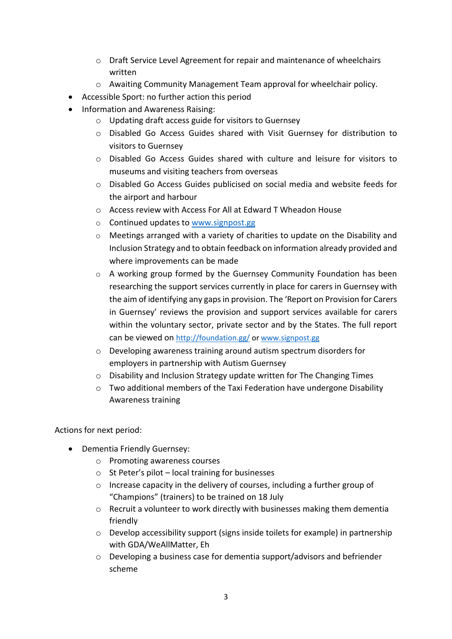- o Draft Service Level Agreement for repair and maintenance of wheelchairs written
- o Awaiting Community Management Team approval for wheelchair policy.
- Accessible Sport: no further action this period
- Information and Awareness Raising:
	- o Updating draft access guide for visitors to Guernsey
	- o Disabled Go Access Guides shared with Visit Guernsey for distribution to visitors to Guernsey
	- o Disabled Go Access Guides shared with culture and leisure for visitors to museums and visiting teachers from overseas
	- o Disabled Go Access Guides publicised on social media and website feeds for the airport and harbour
	- o Access review with Access For All at Edward T Wheadon House
	- o Continued updates to [www.signpost.gg](http://www.signpost.gg/)
	- $\circ$  Meetings arranged with a variety of charities to update on the Disability and Inclusion Strategy and to obtain feedback on information already provided and where improvements can be made
	- o A working group formed by the Guernsey Community Foundation has been researching the support services currently in place for carers in Guernsey with the aim of identifying any gaps in provision. The 'Report on Provision for Carers in Guernsey' reviews the provision and support services available for carers within the voluntary sector, private sector and by the States. The full report can be viewed on <http://foundation.gg/> or [www.signpost.gg](http://www.signpost.gg/)
	- o Developing awareness training around autism spectrum disorders for employers in partnership with Autism Guernsey
	- o Disability and Inclusion Strategy update written for The Changing Times
	- $\circ$  Two additional members of the Taxi Federation have undergone Disability Awareness training

Actions for next period:

- Dementia Friendly Guernsey:
	- o Promoting awareness courses
	- $\circ$  St Peter's pilot local training for businesses
	- o Increase capacity in the delivery of courses, including a further group of "Champions" (trainers) to be trained on 18 July
	- o Recruit a volunteer to work directly with businesses making them dementia friendly
	- o Develop accessibility support (signs inside toilets for example) in partnership with GDA/WeAllMatter, Eh
	- o Developing a business case for dementia support/advisors and befriender scheme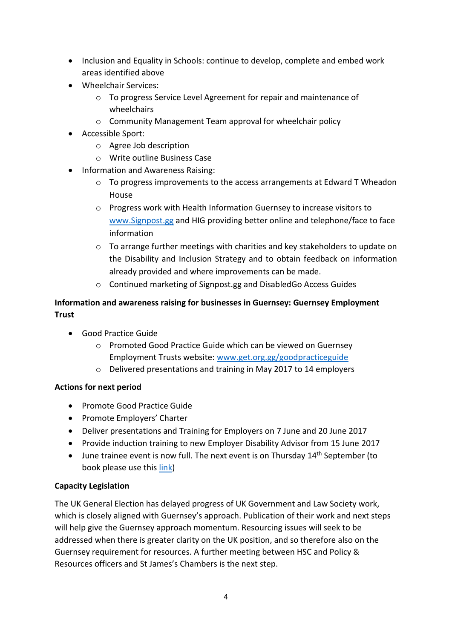- Inclusion and Equality in Schools: continue to develop, complete and embed work areas identified above
- Wheelchair Services:
	- o To progress Service Level Agreement for repair and maintenance of wheelchairs
	- o Community Management Team approval for wheelchair policy
- Accessible Sport:
	- o Agree Job description
	- o Write outline Business Case
- Information and Awareness Raising:
	- $\circ$  To progress improvements to the access arrangements at Edward T Wheadon House
	- o Progress work with Health Information Guernsey to increase visitors to [www.Signpost.gg](http://www.signpost.gg/) and HIG providing better online and telephone/face to face information
	- $\circ$  To arrange further meetings with charities and key stakeholders to update on the Disability and Inclusion Strategy and to obtain feedback on information already provided and where improvements can be made.
	- o Continued marketing of Signpost.gg and DisabledGo Access Guides

# **Information and awareness raising for businesses in Guernsey: Guernsey Employment Trust**

- Good Practice Guide
	- o Promoted Good Practice Guide which can be viewed on Guernsey Employment Trusts website: [www.get.org.gg/goodpracticeguide](http://www.get.org.gg/goodpracticeguide)
	- o Delivered presentations and training in May 2017 to 14 employers

## **Actions for next period**

- Promote Good Practice Guide
- Promote Employers' Charter
- Deliver presentations and Training for Employers on 7 June and 20 June 2017
- Provide induction training to new Employer Disability Advisor from 15 June 2017
- $\bullet$  June trainee event is now full. The next event is on Thursday 14<sup>th</sup> September (to book please use this [link\)](https://www.eventbrite.co.uk/e/employment-and-disability-a-practical-approach-for-employers-tickets-33459188333?aff=es2)

## **Capacity Legislation**

The UK General Election has delayed progress of UK Government and Law Society work, which is closely aligned with Guernsey's approach. Publication of their work and next steps will help give the Guernsey approach momentum. Resourcing issues will seek to be addressed when there is greater clarity on the UK position, and so therefore also on the Guernsey requirement for resources. A further meeting between HSC and Policy & Resources officers and St James's Chambers is the next step.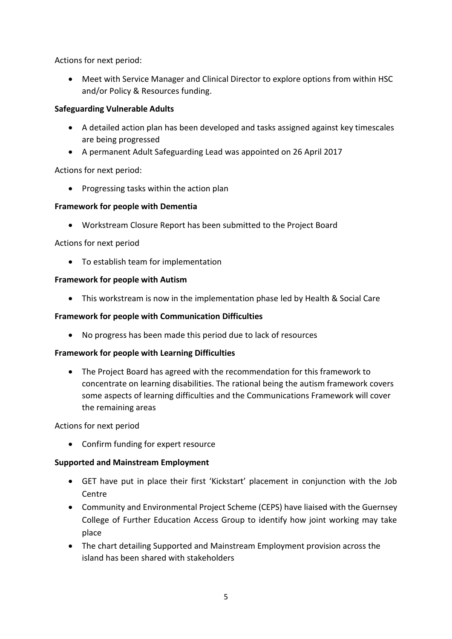Actions for next period:

 Meet with Service Manager and Clinical Director to explore options from within HSC and/or Policy & Resources funding.

## **Safeguarding Vulnerable Adults**

- A detailed action plan has been developed and tasks assigned against key timescales are being progressed
- A permanent Adult Safeguarding Lead was appointed on 26 April 2017

Actions for next period:

• Progressing tasks within the action plan

## **Framework for people with Dementia**

Workstream Closure Report has been submitted to the Project Board

Actions for next period

To establish team for implementation

## **Framework for people with Autism**

This workstream is now in the implementation phase led by Health & Social Care

## **Framework for people with Communication Difficulties**

No progress has been made this period due to lack of resources

## **Framework for people with Learning Difficulties**

 The Project Board has agreed with the recommendation for this framework to concentrate on learning disabilities. The rational being the autism framework covers some aspects of learning difficulties and the Communications Framework will cover the remaining areas

Actions for next period

Confirm funding for expert resource

## **Supported and Mainstream Employment**

- GET have put in place their first 'Kickstart' placement in conjunction with the Job Centre
- Community and Environmental Project Scheme (CEPS) have liaised with the Guernsey College of Further Education Access Group to identify how joint working may take place
- The chart detailing Supported and Mainstream Employment provision across the island has been shared with stakeholders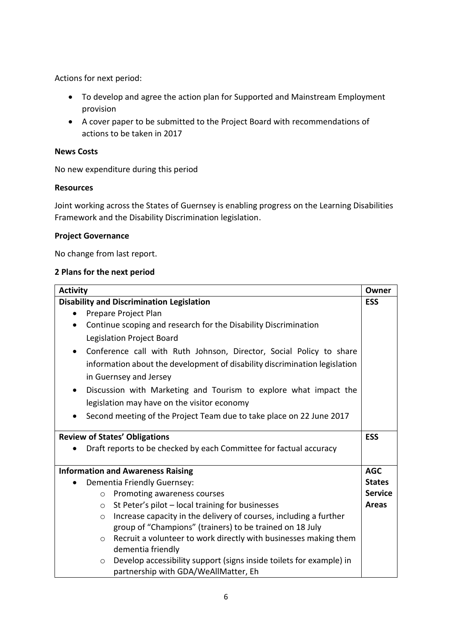Actions for next period:

- To develop and agree the action plan for Supported and Mainstream Employment provision
- A cover paper to be submitted to the Project Board with recommendations of actions to be taken in 2017

#### **News Costs**

No new expenditure during this period

#### **Resources**

Joint working across the States of Guernsey is enabling progress on the Learning Disabilities Framework and the Disability Discrimination legislation.

#### **Project Governance**

No change from last report.

#### **2 Plans for the next period**

| <b>Activity</b>                                                                   |                |
|-----------------------------------------------------------------------------------|----------------|
| <b>Disability and Discrimination Legislation</b>                                  |                |
| Prepare Project Plan                                                              |                |
| Continue scoping and research for the Disability Discrimination                   |                |
| Legislation Project Board                                                         |                |
| Conference call with Ruth Johnson, Director, Social Policy to share<br>$\bullet$  |                |
| information about the development of disability discrimination legislation        |                |
| in Guernsey and Jersey                                                            |                |
| Discussion with Marketing and Tourism to explore what impact the<br>$\bullet$     |                |
| legislation may have on the visitor economy                                       |                |
| Second meeting of the Project Team due to take place on 22 June 2017<br>$\bullet$ |                |
|                                                                                   | <b>ESS</b>     |
| <b>Review of States' Obligations</b>                                              |                |
| Draft reports to be checked by each Committee for factual accuracy                |                |
|                                                                                   |                |
| <b>Information and Awareness Raising</b>                                          |                |
| Dementia Friendly Guernsey:                                                       | <b>States</b>  |
| Promoting awareness courses<br>$\circ$                                            | <b>Service</b> |
| St Peter's pilot - local training for businesses<br>$\circ$                       | <b>Areas</b>   |
| Increase capacity in the delivery of courses, including a further<br>$\circ$      |                |
| group of "Champions" (trainers) to be trained on 18 July                          |                |
| Recruit a volunteer to work directly with businesses making them<br>$\circ$       |                |
| dementia friendly                                                                 |                |
| Develop accessibility support (signs inside toilets for example) in<br>$\circ$    |                |
| partnership with GDA/WeAllMatter, Eh                                              |                |